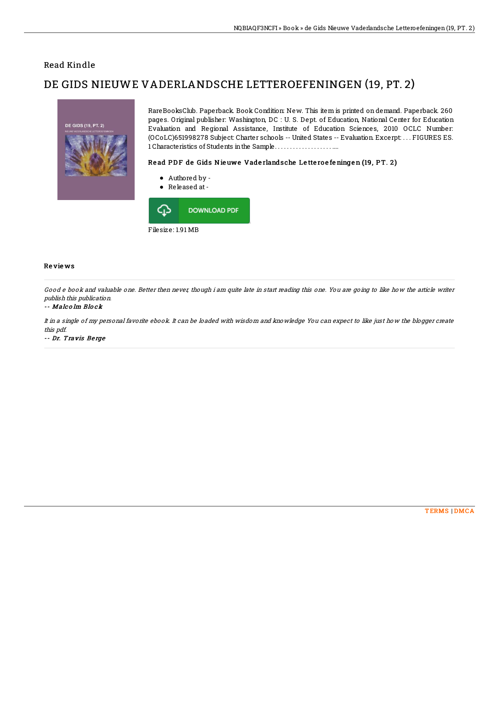## Read Kindle

# DE GIDS NIEUWE VADERLANDSCHE LETTEROEFENINGEN (19, PT. 2)



RareBooksClub. Paperback. Book Condition: New. This item is printed on demand. Paperback. 260 pages. Original publisher: Washington, DC : U. S. Dept. of Education, National Center for Education Evaluation and Regional Assistance, Institute of Education Sciences, 2010 OCLC Number: (OCoLC)651998278 Subject: Charter schools -- United States -- Evaluation. Excerpt: . . . FIGURES ES. 1 Characteristics of Students inthe Sample. . . . . . . . . . . . . . . . . . . ....

### Read PDF de Gids Nieuwe Vaderlandsche Letteroefeningen (19, PT. 2)

- Authored by -
- Released at-



### Re vie ws

Good <sup>e</sup> book and valuable one. Better then never, though i am quite late in start reading this one. You are going to like how the article writer publish this publication.

#### -- Malc o lm Blo ck

It in <sup>a</sup> single of my personal favorite ebook. It can be loaded with wisdom and knowledge You can expect to like just how the blogger create this pdf.

-- Dr. Travis Be rge